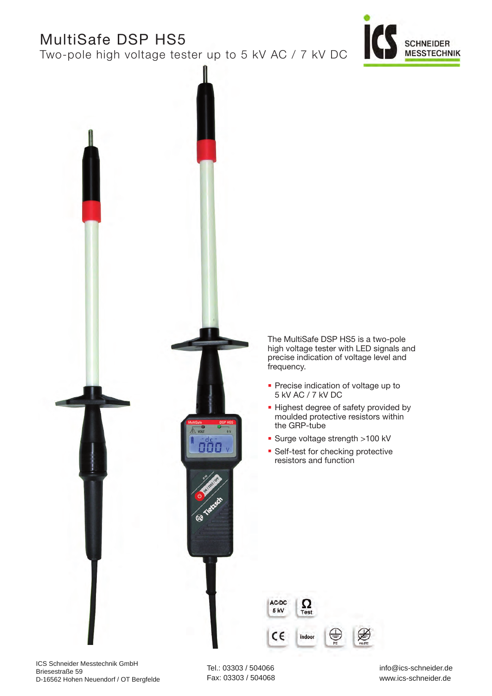# MultiSafe DSP HS5

Two-pole high voltage tester up to 5 kV AC / 7 kV DC





The MultiSafe DSP HS5 is a two-pole high voltage tester with LED signals and precise indication of voltage level and frequency.

- **· Precise indication of voltage up to** 5 kV AC / 7 kV DC
- **.** Highest degree of safety provided by moulded protective resistors within the GRP-tube
- Surge voltage strength >100 kV
- **Self-test for checking protective** resistors and function



ICS Schneider Messtechnik GmbH Briesestraße 59 D-16562 Hohen Neuendorf / OT Bergfelde

Tel.: 03303 / 504066 Fax: 03303 / 504068 info@ics-schneider.de www.ics-schneider.de